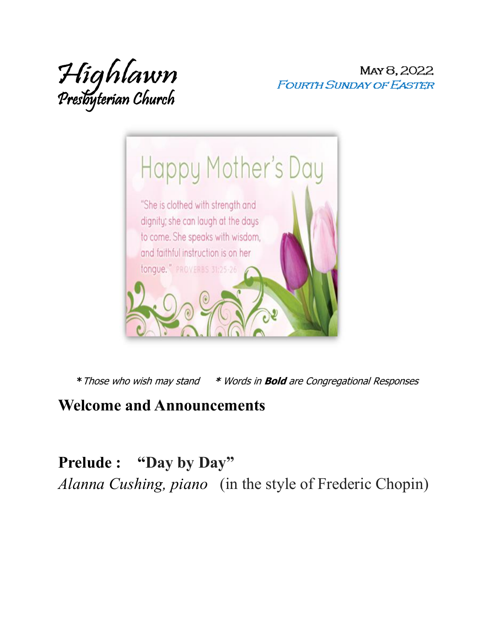

MAY 8, 2022 **FOURTH SUNDAY OF EASTER** 



**\***Those who wish may stand **\*** Words in **Bold** are Congregational Responses

#### **Welcome and Announcements**

**Prelude : "Day by Day"** 

*Alanna Cushing, piano* (in the style of Frederic Chopin)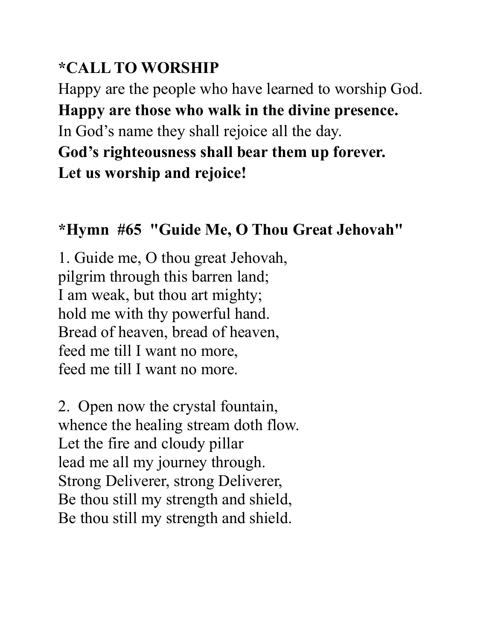#### **\*CALL TO WORSHIP**

Happy are the people who have learned to worship God. **Happy are those who walk in the divine presence.** 

In God's name they shall rejoice all the day.

**God's righteousness shall bear them up forever. Let us worship and rejoice!**

### **\*Hymn #65 "Guide Me, O Thou Great Jehovah"**

1. Guide me, O thou great Jehovah, pilgrim through this barren land; I am weak, but thou art mighty; hold me with thy powerful hand. Bread of heaven, bread of heaven, feed me till I want no more, feed me till I want no more.

2. Open now the crystal fountain, whence the healing stream doth flow. Let the fire and cloudy pillar lead me all my journey through. Strong Deliverer, strong Deliverer, Be thou still my strength and shield, Be thou still my strength and shield.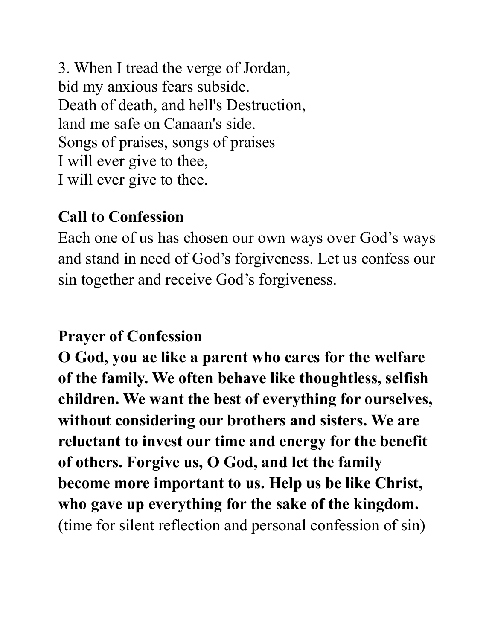3. When I tread the verge of Jordan, bid my anxious fears subside. Death of death, and hell's Destruction, land me safe on Canaan's side. Songs of praises, songs of praises I will ever give to thee, I will ever give to thee.

#### **Call to Confession**

Each one of us has chosen our own ways over God's ways and stand in need of God's forgiveness. Let us confess our sin together and receive God's forgiveness.

#### **Prayer of Confession**

**O God, you ae like a parent who cares for the welfare of the family. We often behave like thoughtless, selfish children. We want the best of everything for ourselves, without considering our brothers and sisters. We are reluctant to invest our time and energy for the benefit of others. Forgive us, O God, and let the family become more important to us. Help us be like Christ, who gave up everything for the sake of the kingdom.** (time for silent reflection and personal confession of sin)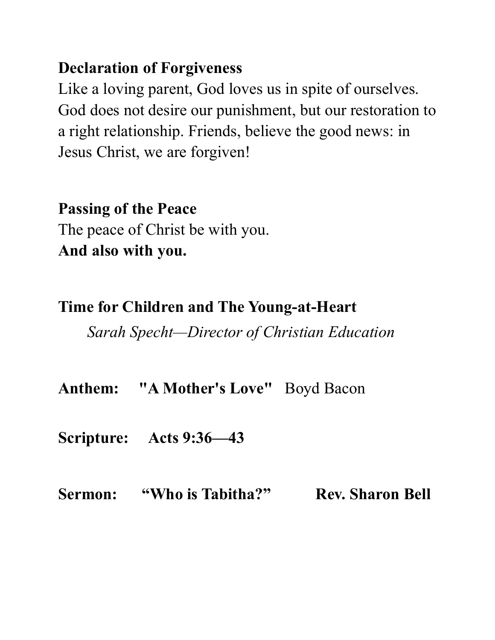#### **Declaration of Forgiveness**

Like a loving parent, God loves us in spite of ourselves. God does not desire our punishment, but our restoration to a right relationship. Friends, believe the good news: in Jesus Christ, we are forgiven!

#### **Passing of the Peace**

The peace of Christ be with you. **And also with you.** 

#### **Time for Children and The Young-at-Heart**

*Sarah Specht—Director of Christian Education*

**Anthem: "A Mother's Love"** Boyd Bacon

**Scripture: Acts 9:36—43**

#### Sermon: "Who is Tabitha?" Rev. Sharon Bell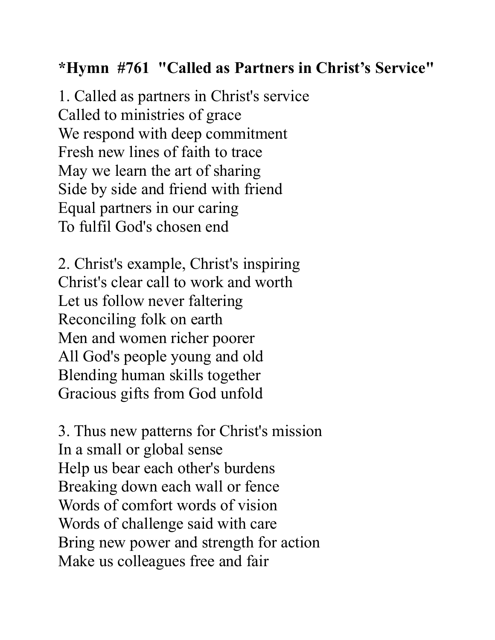#### **\*Hymn #761 "Called as Partners in Christ's Service"**

1. Called as partners in Christ's service Called to ministries of grace We respond with deep commitment Fresh new lines of faith to trace May we learn the art of sharing Side by side and friend with friend Equal partners in our caring To fulfil God's chosen end

2. Christ's example, Christ's inspiring Christ's clear call to work and worth Let us follow never faltering Reconciling folk on earth Men and women richer poorer All God's people young and old Blending human skills together Gracious gifts from God unfold

3. Thus new patterns for Christ's mission In a small or global sense Help us bear each other's burdens Breaking down each wall or fence Words of comfort words of vision Words of challenge said with care Bring new power and strength for action Make us colleagues free and fair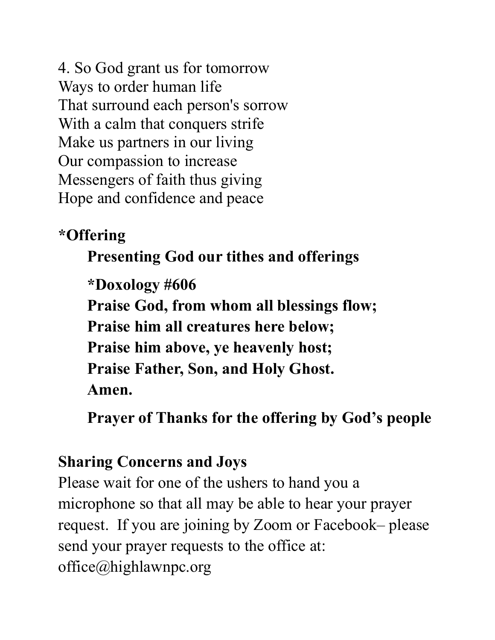4. So God grant us for tomorrow Ways to order human life That surround each person's sorrow With a calm that conquers strife Make us partners in our living Our compassion to increase Messengers of faith thus giving Hope and confidence and peace

#### **\*Offering**

### **Presenting God our tithes and offerings**

**\*Doxology #606 Praise God, from whom all blessings flow; Praise him all creatures here below; Praise him above, ye heavenly host; Praise Father, Son, and Holy Ghost. Amen.**

**Prayer of Thanks for the offering by God's people**

#### **Sharing Concerns and Joys**

Please wait for one of the ushers to hand you a microphone so that all may be able to hear your prayer request. If you are joining by Zoom or Facebook– please send your prayer requests to the office at: office@highlawnpc.org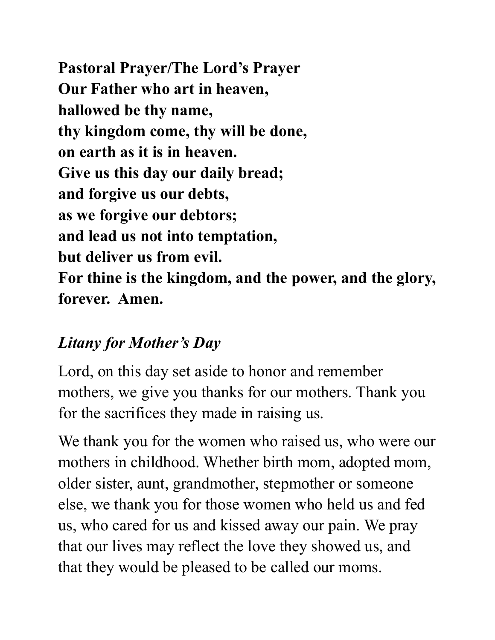**Pastoral Prayer/The Lord's Prayer Our Father who art in heaven, hallowed be thy name, thy kingdom come, thy will be done, on earth as it is in heaven. Give us this day our daily bread; and forgive us our debts, as we forgive our debtors; and lead us not into temptation, but deliver us from evil. For thine is the kingdom, and the power, and the glory, forever. Amen.**

### *Litany for Mother's Day*

Lord, on this day set aside to honor and remember mothers, we give you thanks for our mothers. Thank you for the sacrifices they made in raising us.

We thank you for the women who raised us, who were our mothers in childhood. Whether birth mom, adopted mom, older sister, aunt, grandmother, stepmother or someone else, we thank you for those women who held us and fed us, who cared for us and kissed away our pain. We pray that our lives may reflect the love they showed us, and that they would be pleased to be called our moms.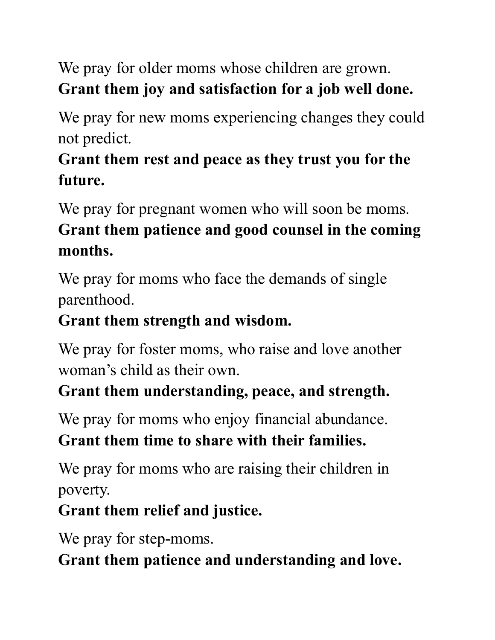We pray for older moms whose children are grown. **Grant them joy and satisfaction for a job well done.**

We pray for new moms experiencing changes they could not predict.

## **Grant them rest and peace as they trust you for the future.**

We pray for pregnant women who will soon be moms. **Grant them patience and good counsel in the coming months.**

We pray for moms who face the demands of single parenthood.

### **Grant them strength and wisdom.**

We pray for foster moms, who raise and love another woman's child as their own.

### **Grant them understanding, peace, and strength.**

We pray for moms who enjoy financial abundance. **Grant them time to share with their families.**

We pray for moms who are raising their children in poverty.

### **Grant them relief and justice.**

We pray for step-moms.

**Grant them patience and understanding and love.**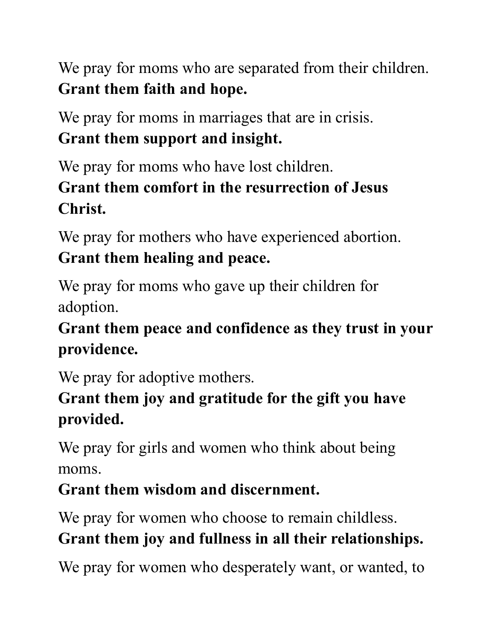We pray for moms who are separated from their children. **Grant them faith and hope.**

We pray for moms in marriages that are in crisis. **Grant them support and insight.**

We pray for moms who have lost children. **Grant them comfort in the resurrection of Jesus Christ.**

We pray for mothers who have experienced abortion. **Grant them healing and peace.**

We pray for moms who gave up their children for adoption.

## **Grant them peace and confidence as they trust in your providence.**

We pray for adoptive mothers.

### **Grant them joy and gratitude for the gift you have provided.**

We pray for girls and women who think about being moms.

## **Grant them wisdom and discernment.**

We pray for women who choose to remain childless.

## **Grant them joy and fullness in all their relationships.**

We pray for women who desperately want, or wanted, to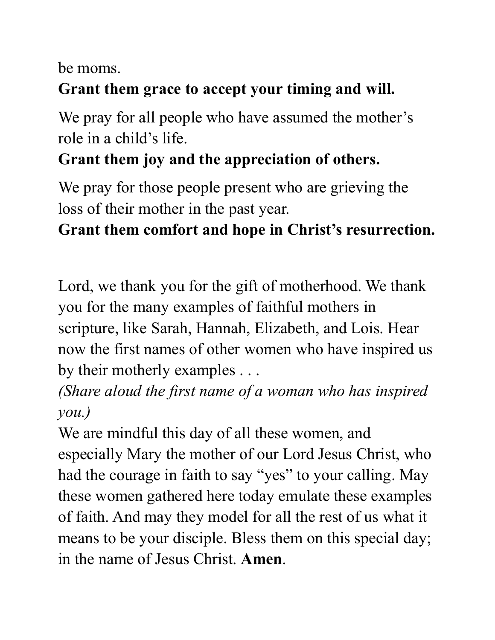be moms.

#### **Grant them grace to accept your timing and will.**

We pray for all people who have assumed the mother's role in a child's life.

### **Grant them joy and the appreciation of others.**

We pray for those people present who are grieving the loss of their mother in the past year.

### **Grant them comfort and hope in Christ's resurrection.**

Lord, we thank you for the gift of motherhood. We thank you for the many examples of faithful mothers in scripture, like Sarah, Hannah, Elizabeth, and Lois. Hear now the first names of other women who have inspired us by their motherly examples . . .

*(Share aloud the first name of a woman who has inspired you.)* 

We are mindful this day of all these women, and especially Mary the mother of our Lord Jesus Christ, who had the courage in faith to say "yes" to your calling. May these women gathered here today emulate these examples of faith. And may they model for all the rest of us what it means to be your disciple. Bless them on this special day; in the name of Jesus Christ. **Amen**.